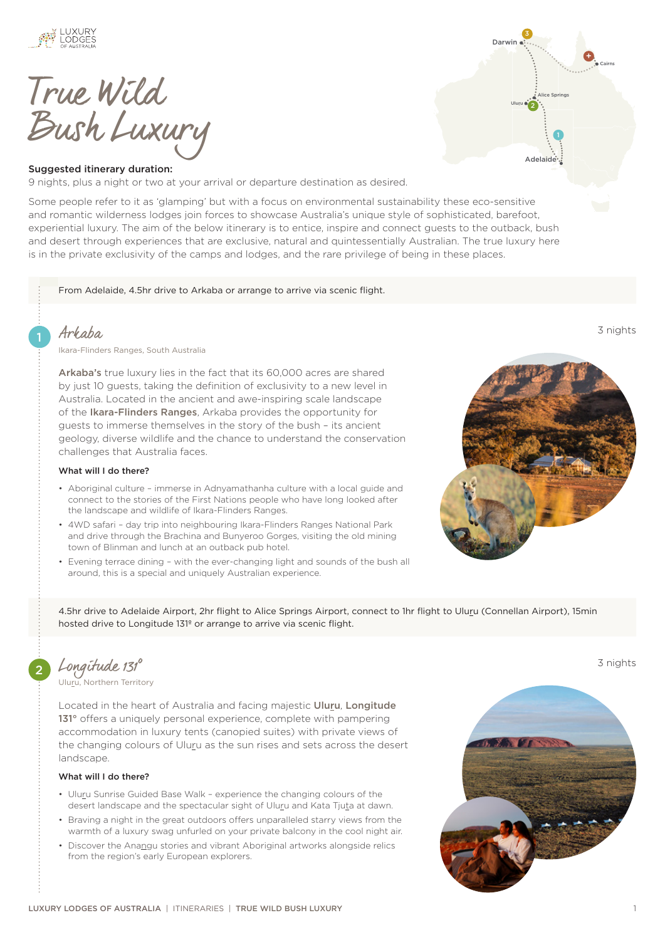

True Wild Bush Luxury

#### Suggested itinerary duration:

9 nights, plus a night or two at your arrival or departure destination as desired.

Some people refer to it as 'glamping' but with a focus on environmental sustainability these eco-sensitive and romantic wilderness lodges join forces to showcase Australia's unique style of sophisticated, barefoot, experiential luxury. The aim of the below itinerary is to entice, inspire and connect guests to the outback, bush and desert through experiences that are exclusive, natural and quintessentially Australian. The true luxury here is in the private exclusivity of the camps and lodges, and the rare privilege of being in these places.

From Adelaide, 4.5hr drive to Arkaba or arrange to arrive via scenic flight.

## 1 *[Arkaba](https://luxurylodgesofaustralia.com.au/lodges/arkaba/)* 3 nights 3 nights

Ikara[-Flinders Ranges, South Australia](https://luxurylodgesofaustralia.com.au/destinations/flinders-ranges/)

[Arkaba's](https://luxurylodgesofaustralia.com.au/lodges/arkaba/) true luxury lies in the fact that its 60,000 acres are shared by just 10 guests, taking the definition of exclusivity to a new level in Australia. Located in the ancient and awe-inspiring scale landscape of the [Ikara-Flinders Ranges](https://luxurylodgesofaustralia.com.au/destinations/flinders-ranges/), Arkaba provides the opportunity for guests to immerse themselves in the story of the bush – its ancient geology, diverse wildlife and the chance to understand the conservation challenges that Australia faces.

#### What will I do there?

- Aboriginal culture immerse in Adnyamathanha culture with a local guide and connect to the stories of the First Nations people who have long looked after the landscape and wildlife of Ikara-Flinders Ranges.
- 4WD safari day trip into neighbouring Ikara-Flinders Ranges National Park and drive through the Brachina and Bunyeroo Gorges, visiting the old mining town of Blinman and lunch at an outback pub hotel.
- Evening terrace dining with the ever-changing light and sounds of the bush all around, this is a special and uniquely Australian experience.

4.5hr drive to Adelaide Airport, 2hr flight to Alice Springs Airport, connect to 1hr flight to Uluru (Connellan Airport), 15min hosted drive to Longitude 131º or arrange to arrive via scenic flight.

[Uluru, Northern Territory](https://luxurylodgesofaustralia.com.au/destinations/ayers-rock-uluru/)

Located in the heart of Australia and facing majestic [Uluru](https://luxurylodgesofaustralia.com.au/destinations/ayers-rock-uluru/), [Longitude](https://luxurylodgesofaustralia.com.au/lodges/longitude131/)  [131°](https://luxurylodgesofaustralia.com.au/lodges/longitude131/) offers a uniquely personal experience, complete with pampering accommodation in luxury tents (canopied suites) with private views of the changing colours of Uluru as the sun rises and sets across the desert landscape.

#### What will I do there?

- Uluru Sunrise Guided Base Walk experience the changing colours of the desert landscape and the spectacular sight of Uluru and Kata Tjuta at dawn.
- Braving a night in the great outdoors offers unparalleled starry views from the warmth of a luxury swag unfurled on your private balcony in the cool night air.
- Discover the Anangu stories and vibrant Aboriginal artworks alongside relics from the region's early European explorers.